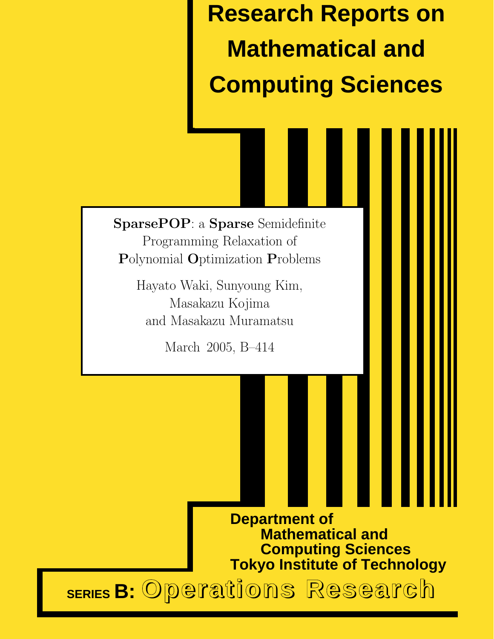**Research Reports on Mathematical and Computing Sciences**

SparsePOP: a Sparse Semidefinite Programming Relaxation of Polynomial Optimization Problems

> Hayato Waki, Sunyoung Kim, Masakazu Kojima and Masakazu Muramatsu

> > March 2005, B–414

**Department of Mathematical and Computing Sciences Tokyo Institute of Technology**

**SERIES B:** Operations Research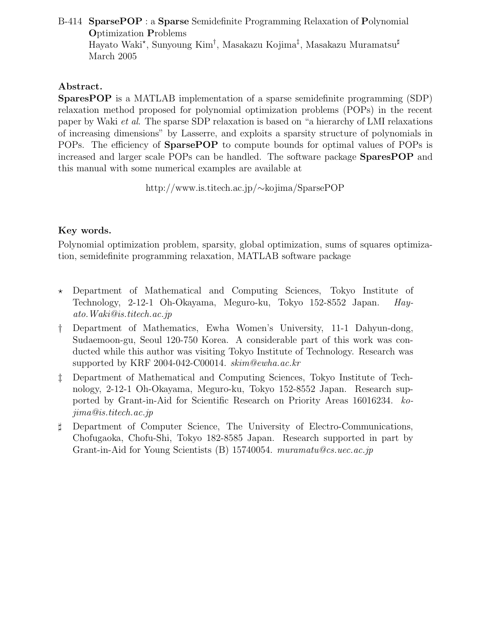#### B-414 SparsePOP : a Sparse Semidefinite Programming Relaxation of Polynomial Optimization Problems Hayato Waki\*, Sunyoung Kim<sup>†</sup>, Masakazu Kojima<sup>‡</sup>, Masakazu Muramatsu<sup>‡</sup> March 2005

#### Abstract.

SparesPOP is a MATLAB implementation of a sparse semidefinite programming (SDP) relaxation method proposed for polynomial optimization problems (POPs) in the recent paper by Waki et al. The sparse SDP relaxation is based on "a hierarchy of LMI relaxations of increasing dimensions" by Lasserre, and exploits a sparsity structure of polynomials in POPs. The efficiency of SparsePOP to compute bounds for optimal values of POPs is increased and larger scale POPs can be handled. The software package SparesPOP and this manual with some numerical examples are available at

http://www.is.titech.ac.jp/∼kojima/SparsePOP

### Key words.

Polynomial optimization problem, sparsity, global optimization, sums of squares optimization, semidefinite programming relaxation, MATLAB software package

- $\star$  Department of Mathematical and Computing Sciences, Tokyo Institute of Technology, 2-12-1 Oh-Okayama, Meguro-ku, Tokyo 152-8552 Japan. Hayato.Waki@is.titech.ac.jp
- † Department of Mathematics, Ewha Women's University, 11-1 Dahyun-dong, Sudaemoon-gu, Seoul 120-750 Korea. A considerable part of this work was conducted while this author was visiting Tokyo Institute of Technology. Research was supported by KRF 2004-042-C00014. skim@ewha.ac.kr
- ‡ Department of Mathematical and Computing Sciences, Tokyo Institute of Technology, 2-12-1 Oh-Okayama, Meguro-ku, Tokyo 152-8552 Japan. Research supported by Grant-in-Aid for Scientific Research on Priority Areas 16016234. kojima@is.titech.ac.jp
- ♯ Department of Computer Science, The University of Electro-Communications, Chofugaoka, Chofu-Shi, Tokyo 182-8585 Japan. Research supported in part by Grant-in-Aid for Young Scientists (B) 15740054. muramatu@cs.uec.ac.jp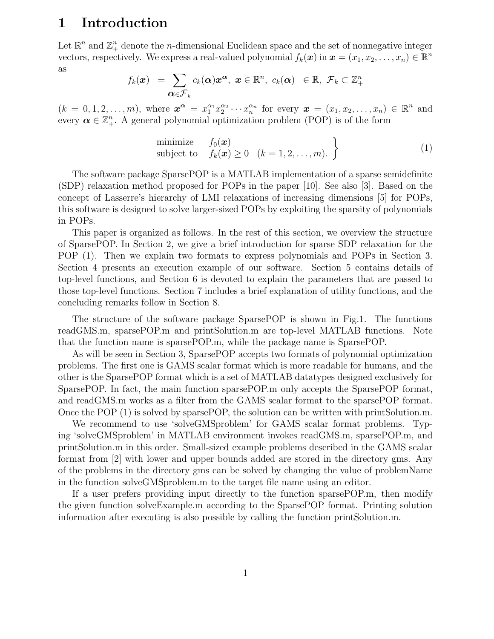### 1 Introduction

Let  $\mathbb{R}^n$  and  $\mathbb{Z}_{+}^n$  denote the *n*-dimensional Euclidean space and the set of nonnegative integer vectors, respectively. We express a real-valued polynomial  $f_k(\boldsymbol{x})$  in  $\boldsymbol{x} = (x_1, x_2, \dots, x_n) \in \mathbb{R}^n$ as

$$
f_k(\boldsymbol{x}) = \sum_{\boldsymbol{\alpha} \in \mathcal{F}_k} c_k(\boldsymbol{\alpha}) \boldsymbol{x}^{\boldsymbol{\alpha}}, \ \boldsymbol{x} \in \mathbb{R}^n, \ c_k(\boldsymbol{\alpha}) \ \in \mathbb{R}, \ \mathcal{F}_k \subset \mathbb{Z}_+^n
$$

 $(k = 0, 1, 2, \ldots, m)$ , where  $\mathbf{x}^{\alpha} = x_1^{\alpha_1} x_2^{\alpha_2} \cdots x_n^{\alpha_n}$  for every  $\mathbf{x} = (x_1, x_2, \ldots, x_n) \in \mathbb{R}^n$  and every  $\boldsymbol{\alpha} \in \mathbb{Z}_{+}^{n}$ . A general polynomial optimization problem (POP) is of the form

minimize 
$$
f_0(\mathbf{x})
$$
  
subject to  $f_k(\mathbf{x}) \ge 0 \quad (k = 1, 2, ..., m)$ .  $\}$  (1)

The software package SparsePOP is a MATLAB implementation of a sparse semidefinite (SDP) relaxation method proposed for POPs in the paper [10]. See also [3]. Based on the concept of Lasserre's hierarchy of LMI relaxations of increasing dimensions [5] for POPs, this software is designed to solve larger-sized POPs by exploiting the sparsity of polynomials in POPs.

This paper is organized as follows. In the rest of this section, we overview the structure of SparsePOP. In Section 2, we give a brief introduction for sparse SDP relaxation for the POP (1). Then we explain two formats to express polynomials and POPs in Section 3. Section 4 presents an execution example of our software. Section 5 contains details of top-level functions, and Section 6 is devoted to explain the parameters that are passed to those top-level functions. Section 7 includes a brief explanation of utility functions, and the concluding remarks follow in Section 8.

The structure of the software package SparsePOP is shown in Fig.1. The functions readGMS.m, sparsePOP.m and printSolution.m are top-level MATLAB functions. Note that the function name is sparsePOP.m, while the package name is SparsePOP.

As will be seen in Section 3, SparsePOP accepts two formats of polynomial optimization problems. The first one is GAMS scalar format which is more readable for humans, and the other is the SparsePOP format which is a set of MATLAB datatypes designed exclusively for SparsePOP. In fact, the main function sparsePOP.m only accepts the SparsePOP format, and readGMS.m works as a filter from the GAMS scalar format to the sparsePOP format. Once the POP (1) is solved by sparsePOP, the solution can be written with printSolution.m.

We recommend to use 'solveGMSproblem' for GAMS scalar format problems. Typing 'solveGMSproblem' in MATLAB environment invokes readGMS.m, sparsePOP.m, and printSolution.m in this order. Small-sized example problems described in the GAMS scalar format from [2] with lower and upper bounds added are stored in the directory gms. Any of the problems in the directory gms can be solved by changing the value of problemName in the function solveGMSproblem.m to the target file name using an editor.

If a user prefers providing input directly to the function sparsePOP.m, then modify the given function solveExample.m according to the SparsePOP format. Printing solution information after executing is also possible by calling the function printSolution.m.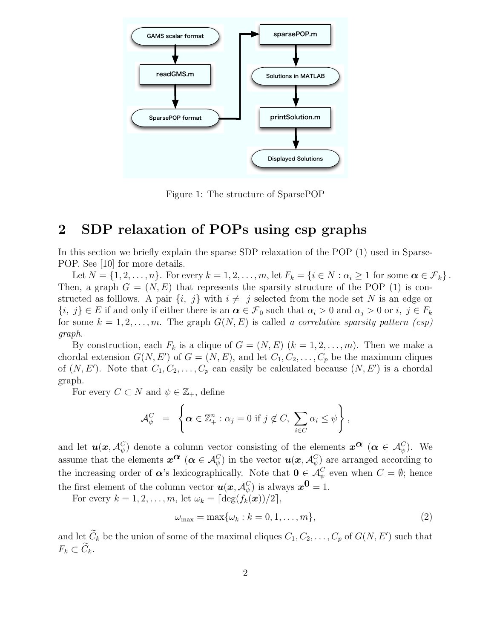

Figure 1: The structure of SparsePOP

# 2 SDP relaxation of POPs using csp graphs

In this section we briefly explain the sparse SDP relaxation of the POP (1) used in Sparse-POP. See [10] for more details.

Let  $N = \{1, 2, \ldots, n\}$ . For every  $k = 1, 2, \ldots, m$ , let  $F_k = \{i \in N : \alpha_i \geq 1 \text{ for some } \alpha \in \mathcal{F}_k\}$ . Then, a graph  $G = (N, E)$  that represents the sparsity structure of the POP (1) is constructed as follows. A pair  $\{i, j\}$  with  $i \neq j$  selected from the node set N is an edge or  ${i, j} \in E$  if and only if either there is an  $\alpha \in \mathcal{F}_0$  such that  $\alpha_i > 0$  and  $\alpha_j > 0$  or  $i, j \in F_k$ for some  $k = 1, 2, \ldots, m$ . The graph  $G(N, E)$  is called a correlative sparsity pattern  $(csp)$ graph.

By construction, each  $F_k$  is a clique of  $G = (N, E)$   $(k = 1, 2, ..., m)$ . Then we make a chordal extension  $G(N, E')$  of  $G = (N, E)$ , and let  $C_1, C_2, \ldots, C_p$  be the maximum cliques of  $(N, E')$ . Note that  $C_1, C_2, \ldots, C_p$  can easily be calculated because  $(N, E')$  is a chordal graph.

For every  $C \subset N$  and  $\psi \in \mathbb{Z}_+$ , define

$$
\mathcal{A}_{\psi}^C = \left\{ \boldsymbol{\alpha} \in \mathbb{Z}_{+}^n : \alpha_j = 0 \text{ if } j \notin C, \sum_{i \in C} \alpha_i \leq \psi \right\},\
$$

and let  $\boldsymbol{u}(\boldsymbol{x}, \mathcal{A}_{\psi}^C)$  $\psi$ ) denote a column vector consisting of the elements  $x^{\alpha}$  (α  $\in \mathcal{A}_{\psi}^C$ ). We assume that the elements  $x^{\alpha}$  ( $\alpha \in A_{\psi}^C$ ) in the vector  $u(x, A_{\psi}^C)$  $\psi_{\psi}^{(1)}$  are arranged according to the increasing order of  $\alpha$ 's lexicographically. Note that  $0 \in \mathcal{A}_{\psi}^C$  even when  $C = \emptyset$ ; hence the first element of the column vector  $u(x, \mathcal{A}_{\psi}^C)$  is always  $x^{\mathbf{0}} = 1$ .

For every  $k = 1, 2, \ldots, m$ , let  $\omega_k = \lceil \deg(f_k(\boldsymbol{x}))/2 \rceil$ ,

$$
\omega_{\text{max}} = \max\{\omega_k : k = 0, 1, \dots, m\},\tag{2}
$$

and let  $\tilde{C}_k$  be the union of some of the maximal cliques  $C_1, C_2, \ldots, C_p$  of  $G(N, E')$  such that  $F_k \subset \widetilde{C}_k$ .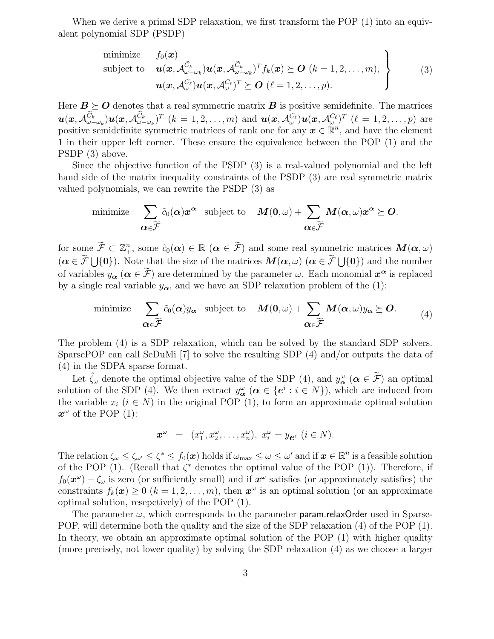When we derive a primal SDP relaxation, we first transform the POP (1) into an equivalent polynomial SDP (PSDP)

minimize 
$$
f_0(\mathbf{x})
$$
  
\nsubject to  $\mathbf{u}(\mathbf{x}, \mathcal{A}_{\omega-\omega_k}^{\tilde{C}_k}) \mathbf{u}(\mathbf{x}, \mathcal{A}_{\omega-\omega_k}^{\tilde{C}_k})^T f_k(\mathbf{x}) \succeq \mathbf{O} \ (k = 1, 2, ..., m),$   
\n $\mathbf{u}(\mathbf{x}, \mathcal{A}_{\omega}^{C_{\ell}}) \mathbf{u}(\mathbf{x}, \mathcal{A}_{\omega}^{C_{\ell}})^T \succeq \mathbf{O} \ (\ell = 1, 2, ..., p).$  (3)

Here  $B \succeq O$  denotes that a real symmetric matrix B is positive semidefinite. The matrices  $\bm{u}(\bm{x},\mathcal{A}^{\widetilde{C}_{k}}_{\omega-}% -\bm{x}^{\prime})\approx-\frac{1}{2}\left( \frac{\widetilde{C}_{k}}{\omega_{0}}\right) ^{2}\left[ \widetilde{C}_{k}(\omega_{0}-\omega_{0})\right] ^{2}\left[ \widetilde{C}_{k}(\omega_{0}-\omega_{0})\right] ^{2}\chi_{\omega_{0}}^{2}$  $\tilde{C_k^{\phantom{\dagger}}}\hspace{0.1em}_{\omega-\omega_k})\bm{u}(\bm{x},\mathcal{A}_{\omega-}^{\widetilde{C}_k}$  $\int_{\omega-\omega_k}^{C_k} f^T(k=1,2,\ldots,m)$  and  $\bm{u}(\bm{x},\mathcal{A}_{\omega}^{C_{\ell}})\bm{u}(\bm{x},\mathcal{A}_{\omega}^{C_{\ell}})^T$   $(\ell=1,2,\ldots,p)$  are positive semidefinite symmetric matrices of rank one for any  $x \in \mathbb{R}^n$ , and have the element 1 in their upper left corner. These ensure the equivalence between the POP (1) and the PSDP (3) above.

Since the objective function of the PSDP (3) is a real-valued polynomial and the left hand side of the matrix inequality constraints of the PSDP (3) are real symmetric matrix valued polynomials, we can rewrite the PSDP (3) as

$$
\text{minimize}\quad \sum_{\boldsymbol\alpha\in\widetilde{\mathcal{F}}} \tilde{c}_0(\boldsymbol\alpha) x^{\boldsymbol\alpha} \quad \text{subject to}\quad \boldsymbol{M}(0,\omega)+\sum_{\boldsymbol\alpha\in\widetilde{\mathcal{F}}} \boldsymbol{M}(\boldsymbol\alpha,\omega) x^{\boldsymbol\alpha}\succeq \boldsymbol{O}.
$$

for some  $\widetilde{\mathcal{F}} \subset \mathbb{Z}_+^n$ , some  $\tilde{c}_0(\boldsymbol{\alpha}) \in \mathbb{R} \ (\boldsymbol{\alpha} \in \widetilde{\mathcal{F}})$  and some real symmetric matrices  $\boldsymbol{M}(\boldsymbol{\alpha}, \omega)$  $(\alpha \in \tilde{\mathcal{F}} \bigcup \{0\})$ . Note that the size of the matrices  $M(\alpha, \omega)$   $(\alpha \in \tilde{\mathcal{F}} \bigcup \{0\})$  and the number of variables  $y_{\alpha}$  ( $\alpha \in \tilde{\mathcal{F}}$ ) are determined by the parameter  $\omega$ . Each monomial  $x^{\alpha}$  is replaced by a single real variable  $y_{\alpha}$ , and we have an SDP relaxation problem of the (1):

minimize 
$$
\sum_{\alpha \in \widetilde{\mathcal{F}}} \tilde{c}_0(\alpha) y_\alpha
$$
 subject to  $M(0, \omega) + \sum_{\alpha \in \widetilde{\mathcal{F}}} M(\alpha, \omega) y_\alpha \succeq O.$  (4)

The problem (4) is a SDP relaxation, which can be solved by the standard SDP solvers. SparsePOP can call SeDuMi [7] to solve the resulting SDP (4) and/or outputs the data of (4) in the SDPA sparse format.

Let  $\hat{\zeta}_{\omega}$  denote the optimal objective value of the SDP (4), and  $y_{\alpha}^{\omega}$  ( $\alpha \in \tilde{\mathcal{F}}$ ) an optimal solution of the SDP (4). We then extract  $y_{\alpha}^{\omega}$  ( $\alpha \in \{e^i : i \in N\}$ ), which are induced from the variable  $x_i$  ( $i \in N$ ) in the original POP (1), to form an approximate optimal solution  $x^{\omega}$  of the POP (1):

$$
\boldsymbol{x}^{\omega} = (x_1^{\omega}, x_2^{\omega}, \dots, x_n^{\omega}), \ x_i^{\omega} = y_{\boldsymbol{e}^i} \ (i \in N).
$$

The relation  $\zeta_\omega \leq \zeta_{\omega'} \leq \zeta^* \leq f_0(\boldsymbol{x})$  holds if  $\omega_{\text{max}} \leq \omega \leq \omega'$  and if  $\boldsymbol{x} \in \mathbb{R}^n$  is a feasible solution of the POP (1). (Recall that  $\zeta^*$  denotes the optimal value of the POP (1)). Therefore, if  $f_0(\mathbf{x}^{\omega}) - \zeta_{\omega}$  is zero (or sufficiently small) and if  $\mathbf{x}^{\omega}$  satisfies (or approximately satisfies) the constraints  $f_k(\boldsymbol{x}) \geq 0$   $(k = 1, 2, ..., m)$ , then  $\boldsymbol{x}^{\omega}$  is an optimal solution (or an approximate optimal solution, resepctively) of the POP (1).

The parameter  $\omega$ , which corresponds to the parameter **param.relaxOrder** used in Sparse-POP, will determine both the quality and the size of the SDP relaxation (4) of the POP (1). In theory, we obtain an approximate optimal solution of the POP (1) with higher quality (more precisely, not lower quality) by solving the SDP relaxation (4) as we choose a larger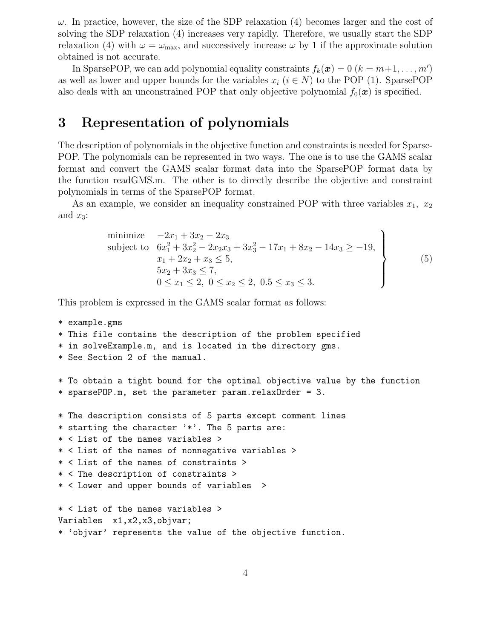$\omega$ . In practice, however, the size of the SDP relaxation (4) becomes larger and the cost of solving the SDP relaxation (4) increases very rapidly. Therefore, we usually start the SDP relaxation (4) with  $\omega = \omega_{\text{max}}$ , and successively increase  $\omega$  by 1 if the approximate solution obtained is not accurate.

In SparsePOP, we can add polynomial equality constraints  $f_k(\boldsymbol{x}) = 0$   $(k = m+1, \ldots, m')$ as well as lower and upper bounds for the variables  $x_i$  ( $i \in N$ ) to the POP (1). SparsePOP also deals with an unconstrained POP that only objective polynomial  $f_0(x)$  is specified.

### 3 Representation of polynomials

The description of polynomials in the objective function and constraints is needed for Sparse-POP. The polynomials can be represented in two ways. The one is to use the GAMS scalar format and convert the GAMS scalar format data into the SparsePOP format data by the function readGMS.m. The other is to directly describe the objective and constraint polynomials in terms of the SparsePOP format.

As an example, we consider an inequality constrained POP with three variables  $x_1, x_2$ and  $x_3$ :

minimize 
$$
-2x_1 + 3x_2 - 2x_3
$$
  
\nsubject to  $6x_1^2 + 3x_2^2 - 2x_2x_3 + 3x_3^2 - 17x_1 + 8x_2 - 14x_3 \ge -19$ ,  
\n $x_1 + 2x_2 + x_3 \le 5$ ,  
\n $5x_2 + 3x_3 \le 7$ ,  
\n $0 \le x_1 \le 2$ ,  $0 \le x_2 \le 2$ ,  $0.5 \le x_3 \le 3$ .  
\n(5)

This problem is expressed in the GAMS scalar format as follows:

```
* example.gms
* This file contains the description of the problem specified
* in solveExample.m, and is located in the directory gms.
* See Section 2 of the manual.
* To obtain a tight bound for the optimal objective value by the function
* sparsePOP.m, set the parameter param.relaxOrder = 3.
* The description consists of 5 parts except comment lines
* starting the character '*'. The 5 parts are:
* < List of the names variables >
* < List of the names of nonnegative variables >
* < List of the names of constraints >
* < The description of constraints >
* < Lower and upper bounds of variables >
* < List of the names variables >
Variables x1,x2,x3,objvar;
* 'objvar' represents the value of the objective function.
```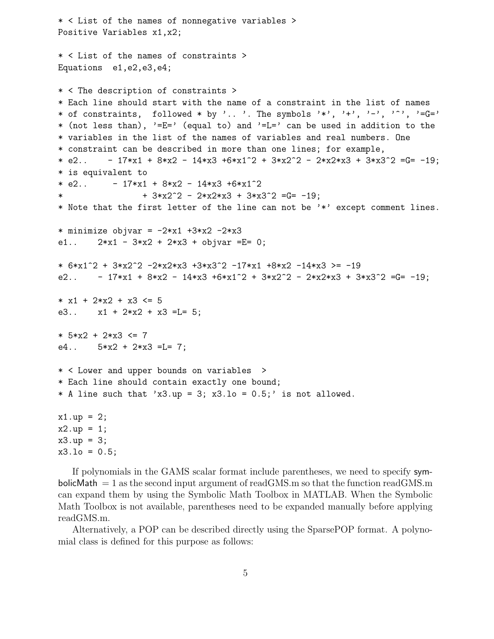```
* < List of the names of nonnegative variables >
Positive Variables x1,x2;
* < List of the names of constraints >
Equations e1,e2,e3,e4;
* < The description of constraints >
* Each line should start with the name of a constraint in the list of names
* of constraints, followed * by '.. '. The symbols '*', '+', '-', '^', '=G='
* (not less than), '=E=' (equal to) and '=L=' can be used in addition to the
* variables in the list of the names of variables and real numbers. One
* constraint can be described in more than one lines; for example,
* e2.. - 17*x1 + 8*x2 - 14*x3 + 6*x1^2 + 3*x2^2 - 2*x2*x3 + 3*x3^2 = G = -19;
* is equivalent to
* e2.. -17*x1 + 8*x2 - 14*x3 + 6*x1^2* + 3*x2^2 - 2*x2*x3 + 3*x3^2 = G = -19;* Note that the first letter of the line can not be '*' except comment lines.
* minimize objvar = -2*x1 +3*x2 -2*x3
e1.. 2*x1 - 3*x2 + 2*x3 + objvar = E= 0;* 6*x1^2 + 3*x2^2 -2*x2*x3 +3*x3^2 -17*x1 +8*x2 -14*x3 >= -19
e2.. -17*x1 + 8*x2 - 14*x3 + 6*x1^2 + 3*x2^2 - 2*x2*x3 + 3*x3^2 = G = -19;
* x1 + 2*x2 + x3 \leq 5e3.. x1 + 2*x2 + x3 = L = 5;
* 5*x2 + 2*x3 <= 7
e4.. 5*x2 + 2*x3 = L = 7;
* < Lower and upper bounds on variables >
* Each line should contain exactly one bound;
* A line such that 'x3.up = 3; x3.lo = 0.5;' is not allowed.
x1.up = 2;x2.up = 1;x3.up = 3;x3.10 = 0.5;
```
If polynomials in the GAMS scalar format include parentheses, we need to specify symbolicMath  $= 1$  as the second input argument of readGMS.m so that the function readGMS.m can expand them by using the Symbolic Math Toolbox in MATLAB. When the Symbolic Math Toolbox is not available, parentheses need to be expanded manually before applying readGMS.m.

Alternatively, a POP can be described directly using the SparsePOP format. A polynomial class is defined for this purpose as follows: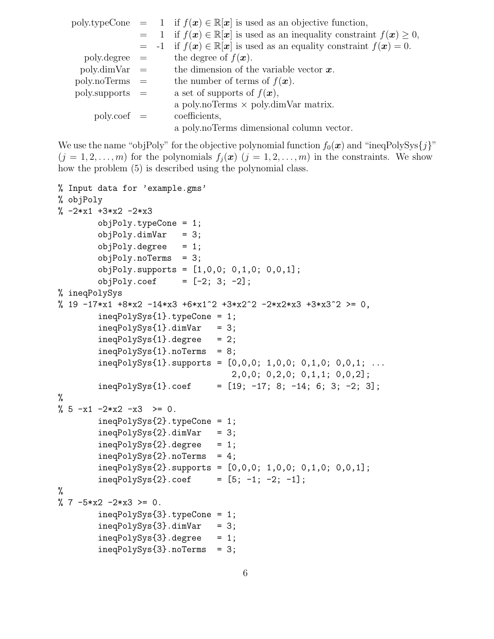|                        |  | poly.typeCone = 1 if $f(x) \in \mathbb{R}[x]$ is used as an objective function,       |
|------------------------|--|---------------------------------------------------------------------------------------|
|                        |  | $=$ 1 if $f(x) \in \mathbb{R}[x]$ is used as an inequality constraint $f(x) \geq 0$ , |
|                        |  | $= -1$ if $f(x) \in \mathbb{R}[x]$ is used as an equality constraint $f(x) = 0$ .     |
| $polydegree =$         |  | the degree of $f(\boldsymbol{x})$ .                                                   |
| $\text{poly.dimVar}$ = |  | the dimension of the variable vector $x$ .                                            |
| $poly.noTerms =$       |  | the number of terms of $f(\boldsymbol{x})$ .                                          |
| $poly.$ supports $=$   |  | a set of supports of $f(\boldsymbol{x}),$                                             |
|                        |  | a poly.noTerms $\times$ poly.dimVar matrix.                                           |
| $poly.coef =$          |  | coefficients,                                                                         |
|                        |  | a poly.noTerms dimensional column vector.                                             |

We use the name "objPoly" for the objective polynomial function  $f_0(x)$  and "ineqPolySys $\{j\}$ "  $(j = 1, 2, \ldots, m)$  for the polynomials  $f_i(\mathbf{x})$   $(j = 1, 2, \ldots, m)$  in the constraints. We show how the problem (5) is described using the polynomial class.

```
% Input data for 'example.gms'
% objPoly
\% -2*x1 +3*x2 -2*x3objPoly.typeCone = 1;
       objPoly.dimVar = 3;
       objPoly.degree = 1;
       objPoly.noTerms = 3;
       objPoly.supports = [1,0,0; 0,1,0; 0,0,1];
       objPoly.coef = [-2; 3; -2];% ineqPolySys
% 19 -17*x1 +8*x2 -14*x3 +6*x1^2 +3*x2^2 -2*x2*x3 +3*x3^2 >= 0,
        ineqPolySys{1}.typeCone = 1;
       ineqPolySys{1}.dimVar = 3;
       ineqPolySys{1}.degree = 2;ineqPolySys{1}.noTerms = 8;
        ineqPolySys{1}.supports = [0,0,0; 1,0,0; 0,1,0; 0,0,1; ...
                                  2,0,0; 0,2,0; 0,1,1; 0,0,2];
       ineqPolySys{1}.coef = [19; -17; 8; -14; 6; 3; -2; 3];
%
% 5 -x1 -2*x2 -x3 \ge 0.ineqPolySys{2}.typeCone = 1;
        ineqPolySys{2}.dimVar = 3;ineqPolySys{2}.degree = 1;ineqPolySys{2}.noTerms = 4;
        ineqPolySys{2}.supports = [0,0,0; 1,0,0; 0,1,0; 0,0,1];
       ineqPolySys{2}.coef = [5; -1; -2; -1];%
% 7 -5*x2 -2*x3 > = 0.ineqPolySys{3}.typeCone = 1;
        ineqPolySys{3}.dimVar = 3;ineqPolySys{3}.degree = 1;ineqPolySys{3}.noTerms = 3;
```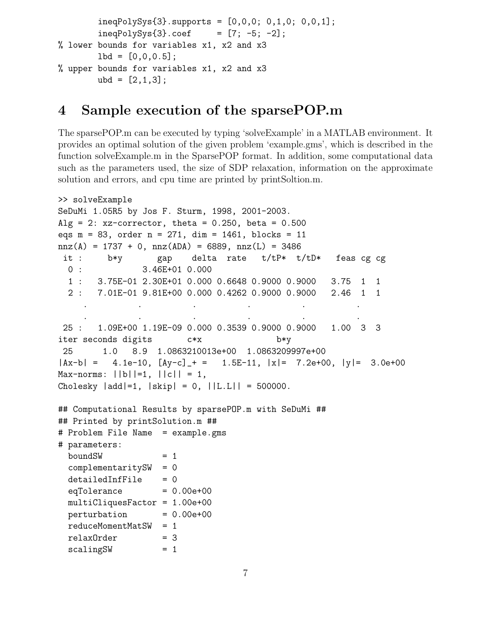```
ineqPolySys{3}.supports = [0,0,0; 0,1,0; 0,0,1];
        ineqPolySys{3}.coef = [7; -5; -2];
% lower bounds for variables x1, x2 and x3
       1bd = [0, 0, 0.5];% upper bounds for variables x1, x2 and x3
       ubd = [2,1,3];
```
# 4 Sample execution of the sparsePOP.m

The sparsePOP.m can be executed by typing 'solveExample' in a MATLAB environment. It provides an optimal solution of the given problem 'example.gms', which is described in the function solveExample.m in the SparsePOP format. In addition, some computational data such as the parameters used, the size of SDP relaxation, information on the approximate solution and errors, and cpu time are printed by printSoltion.m.

```
>> solveExample
SeDuMi 1.05R5 by Jos F. Sturm, 1998, 2001-2003.
Alg = 2: xz-corrector, theta = 0.250, beta = 0.500
eqs m = 83, order n = 271, dim = 1461, blocks = 11
nnz(A) = 1737 + 0, nnz(ADA) = 6889, nnz(L) = 3486it : b*y gap delta rate t/tP* t/tD* feas cg cg
 0 : 3.46E+01 0.000
 1 : 3.75E-01 2.30E+01 0.000 0.6648 0.9000 0.9000 3.75 1 1
 2 : 7.01E-01 9.81E+00 0.000 0.4262 0.9000 0.9000 2.46 1 1
     . The simulation of the simulation of the simulation of the simulation of the simulation of the simulation of the simulation of the simulation of the simulation of the simulation of the simulation of the simulation of the
     . . . . . .
25 : 1.09E+00 1.19E-09 0.000 0.3539 0.9000 0.9000 1.00 3 3
iter seconds digits c*x b*y
25 1.0 8.9 1.0863210013e+00 1.0863209997e+00
|Ax-b| = 4.1e-10, [Ay-c] + = 1.5E-11, |x| = 7.2e+00, |y| = 3.0e+00Max-norms: ||b||=1, ||c|| = 1,Cholesky |add|=1, |skip| = 0, ||L.L|| = 500000.
## Computational Results by sparsePOP.m with SeDuMi ##
## Printed by printSolution.m ##
# Problem File Name = example.gms
# parameters:
 boundSW = 1
 complementaritySW = 0
 detailedInfFile = 0eqTolerance = 0.00e+00multiCliquesFactor = 1.00e+00
 perturbation = 0.00e+00reduceMomentMatSW = 1
 relaxOrder = 3scalingSW = 1
```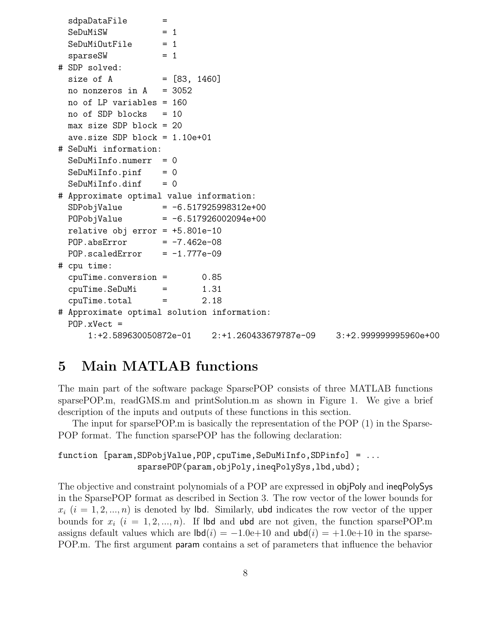```
sdpaDataFile =
 SeDuMiSW = 1SeDuMiOutFile = 1sparseSW = 1
# SDP solved:
 size of A = [83, 1460]no nonzeros in A = 3052no of LP variables = 160
 no of SDP blocks = 10
 max size SDP block = 20
 ave.size SDP block = 1.10e+01
# SeDuMi information:
 SeDuMiInfo.numerr = 0SeDuMiInfo.pinf = 0SeDuMiInfo.dinf = 0# Approximate optimal value information:
 SDPobjValue = -6.517925998312e+00
 POPobjValue = -6.517926002094e+00relative obj error = +5.801e-10
 POP. absError = -7.462e-08POP.scaledError = -1.777e-09# cpu time:
 cpuTime.conversion = 0.85
 cpuTime.SeDuMi = 1.31
 cpuTime.total = 2.18
# Approximate optimal solution information:
 POP.xVect =
     1:+2.589630050872e-01 2:+1.260433679787e-09 3:+2.999999995960e+00
```
# 5 Main MATLAB functions

The main part of the software package SparsePOP consists of three MATLAB functions sparsePOP.m, readGMS.m and printSolution.m as shown in Figure 1. We give a brief description of the inputs and outputs of these functions in this section.

The input for sparsePOP.m is basically the representation of the POP (1) in the Sparse-POP format. The function sparsePOP has the following declaration:

```
function [param,SDPobjValue,POP,cpuTime,SeDuMiInfo,SDPinfo] = ...
                sparsePOP(param,objPoly,ineqPolySys,lbd,ubd);
```
The objective and constraint polynomials of a POP are expressed in objPoly and ineqPolySys in the SparsePOP format as described in Section 3. The row vector of the lower bounds for  $x_i$   $(i = 1, 2, ..., n)$  is denoted by lbd. Similarly, ubd indicates the row vector of the upper bounds for  $x_i$   $(i = 1, 2, ..., n)$ . If lbd and ubd are not given, the function sparsePOP.m assigns default values which are  $\text{lbd}(i) = -1.0e+10$  and  $\text{ubd}(i) = +1.0e+10$  in the sparse-POP.m. The first argument param contains a set of parameters that influence the behavior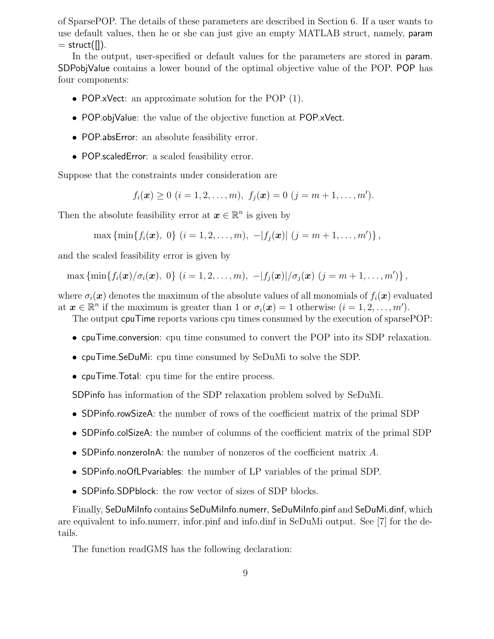of SparsePOP. The details of these parameters are described in Section 6. If a user wants to use default values, then he or she can just give an empty MATLAB struct, namely, param  $=$  struct( $\vert \vert$ ).

In the output, user-specified or default values for the parameters are stored in param. SDPobjValue contains a lower bound of the optimal objective value of the POP. POP has four components:

- POP.xVect: an approximate solution for the POP (1).
- POP.objValue: the value of the objective function at POP.xVect.
- POP.absError: an absolute feasibility error.
- POP.scaledError: a scaled feasibility error.

Suppose that the constraints under consideration are

 $f_i(\boldsymbol{x}) \geq 0 \ (i = 1, 2, \ldots, m), \ f_j(\boldsymbol{x}) = 0 \ (j = m + 1, \ldots, m').$ 

Then the absolute feasibility error at  $\boldsymbol{x} \in \mathbb{R}^n$  is given by

max { $\min\{f_i(\bm{x}), 0\}$   $(i = 1, 2, ..., m), -|f_j(\bm{x})|$   $(j = m + 1, ..., m')\}$ ,

and the scaled feasibility error is given by

max { $\min\{f_i(\bm{x})/\sigma_i(\bm{x}), 0\}$   $(i = 1, 2, ..., m), -|f_j(\bm{x})|/\sigma_j(\bm{x})$   $(j = m + 1, ..., m')\}$ ,

where  $\sigma_i(\bm{x})$  denotes the maximum of the absolute values of all monomials of  $f_i(\bm{x})$  evaluated at  $\boldsymbol{x} \in \mathbb{R}^n$  if the maximum is greater than 1 or  $\sigma_i(\boldsymbol{x}) = 1$  otherwise  $(i = 1, 2, \ldots, m')$ .

The output cpuTime reports various cpu times consumed by the execution of sparsePOP:

- cpuTime.conversion: cpu time consumed to convert the POP into its SDP relaxation.
- cpuTime.SeDuMi: cpu time consumed by SeDuMi to solve the SDP.
- cpuTime.Total: cpu time for the entire process.

SDPinfo has information of the SDP relaxation problem solved by SeDuMi.

- SDP info. rowSizeA: the number of rows of the coefficient matrix of the primal SDP
- SDP info.colSize A: the number of columns of the coefficient matrix of the primal SDP
- SDPinfo.nonzeroInA: the number of nonzeros of the coefficient matrix  $A$ .
- SDPinfo.noOfLPvariables: the number of LP variables of the primal SDP.
- SDPinfo.SDPblock: the row vector of sizes of SDP blocks.

Finally, SeDuMiInfo contains SeDuMiInfo.numerr, SeDuMiInfo.pinf and SeDuMi.dinf, which are equivalent to info.numerr, infor.pinf and info.dinf in SeDuMi output. See [7] for the details.

The function readGMS has the following declaration: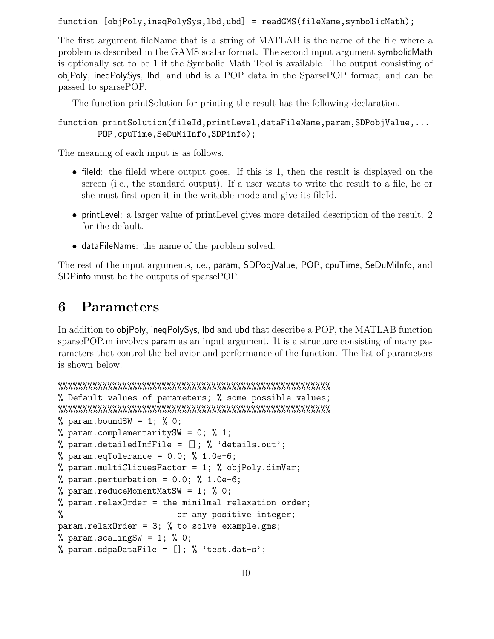function [objPoly,ineqPolySys,lbd,ubd] = readGMS(fileName,symbolicMath);

The first argument fileName that is a string of MATLAB is the name of the file where a problem is described in the GAMS scalar format. The second input argument symbolicMath is optionally set to be 1 if the Symbolic Math Tool is available. The output consisting of objPoly, ineqPolySys, lbd, and ubd is a POP data in the SparsePOP format, and can be passed to sparsePOP.

The function printSolution for printing the result has the following declaration.

function printSolution(fileId,printLevel,dataFileName,param,SDPobjValue,... POP,cpuTime,SeDuMiInfo,SDPinfo);

The meaning of each input is as follows.

- filed: the fileId where output goes. If this is 1, then the result is displayed on the screen (i.e., the standard output). If a user wants to write the result to a file, he or she must first open it in the writable mode and give its fileId.
- printLevel: a larger value of printLevel gives more detailed description of the result. 2 for the default.
- dataFileName: the name of the problem solved.

The rest of the input arguments, i.e., param, SDPobjValue, POP, cpuTime, SeDuMiInfo, and SDPinfo must be the outputs of sparsePOP.

# 6 Parameters

In addition to objPoly, ineqPolySys, lbd and ubd that describe a POP, the MATLAB function sparsePOP.m involves param as an input argument. It is a structure consisting of many parameters that control the behavior and performance of the function. The list of parameters is shown below.

```
%%%%%%%%%%%%%%%%%%%%%%%%%%%%%%%%%%%%%%%%%%%%%%%%%%%%%%%
% Default values of parameters; % some possible values;
%%%%%%%%%%%%%%%%%%%%%%%%%%%%%%%%%%%%%%%%%%%%%%%%%%%%%%%
\% param.boundSW = 1; \% 0;
% param.complementaritySW = 0; % 1;
% param.detailedInfFile = []; % 'details.out';
% param.eqTolerance = 0.0; % 1.0e-6;
% param.multiCliquesFactor = 1; % objPoly.dimVar;
% param.perturbation = 0.0; % 1.0e-6;
% param.reduceMomentMatSW = 1; % 0;
% param.relaxOrder = the minilmal relaxation order;
% or any positive integer;
param.relaxOrder = 3; % to solve example.gms;
% param.scalingSW = 1; % 0;
% param.sdpaDataFile = []; % 'test.dat-s';
```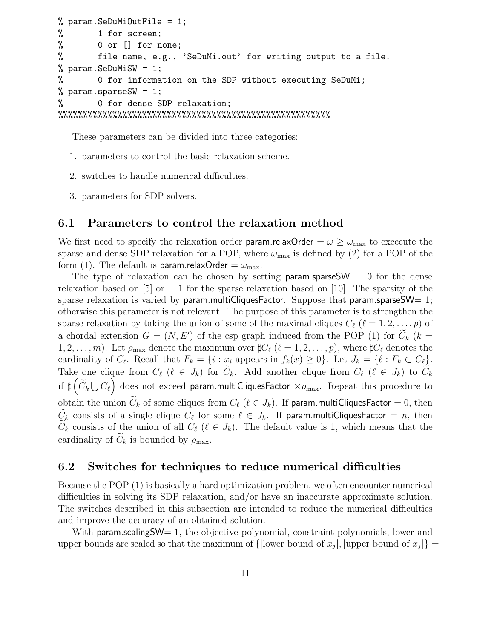```
% param.SeDuMiOutFile = 1;
% 1 for screen;
% 0 or [] for none;
% file name, e.g., 'SeDuMi.out' for writing output to a file.
% param.SeDuMiSW = 1;
% 0 for information on the SDP without executing SeDuMi;
% param.sparseSW = 1;
% 0 for dense SDP relaxation;
%%%%%%%%%%%%%%%%%%%%%%%%%%%%%%%%%%%%%%%%%%%%%%%%%%%%%%%
```
These parameters can be divided into three categories:

- 1. parameters to control the basic relaxation scheme.
- 2. switches to handle numerical difficulties.
- 3. parameters for SDP solvers.

#### 6.1 Parameters to control the relaxation method

We first need to specify the relaxation order **param.relaxOrder** =  $\omega \geq \omega_{\text{max}}$  to excecute the sparse and dense SDP relaxation for a POP, where  $\omega_{\text{max}}$  is defined by (2) for a POP of the form (1). The default is param.relaxOrder  $=\omega_{\text{max}}$ .

The type of relaxation can be chosen by setting param.sparseSW =  $0$  for the dense relaxation based on [5] or  $= 1$  for the sparse relaxation based on [10]. The sparsity of the sparse relaxation is varied by param.multiCliquesFactor. Suppose that param.sparseSW=  $1$ ; otherwise this parameter is not relevant. The purpose of this parameter is to strengthen the sparse relaxation by taking the union of some of the maximal cliques  $C_{\ell}$  ( $\ell = 1, 2, \ldots, p$ ) of a chordal extension  $G = (N, E')$  of the csp graph induced from the POP (1) for  $C_k$  ( $k =$ 1, 2, ..., m). Let  $\rho_{\text{max}}$  denote the maximum over  $\sharp C_{\ell}$  ( $\ell = 1, 2, ..., p$ ), where  $\sharp C_{\ell}$  denotes the cardinality of  $C_{\ell}$ . Recall that  $F_k = \{i : x_i \text{ appears in } f_k(x) \geq 0\}$ . Let  $J_k = \{\ell : F_k \subset C_{\ell}\}.$ Take one clique from  $C_{\ell}$  ( $\ell \in J_k$ ) for  $C_k$ . Add another clique from  $C_{\ell}$  ( $\ell \in J_k$ ) to  $C_k$ if  $\sharp\left(\widetilde{C}_k\bigcup C_\ell\right)$  does not exceed param.multiCliquesFactor  $\times\rho_\text{max}$ . Repeat this procedure to obtain the union  $\tilde{C}_k$  of some cliques from  $C_\ell$  ( $\ell \in J_k$ ). If param.multiCliquesFactor = 0, then  $C_k$  consists of a single clique  $C_\ell$  for some  $\ell \in J_k$ . If param.multiCliquesFactor = n, then  $C_k$  consists of the union of all  $C_{\ell}$  ( $\ell \in J_k$ ). The default value is 1, which means that the cardinality of  $C_k$  is bounded by  $\rho_{\text{max}}$ .

#### 6.2 Switches for techniques to reduce numerical difficulties

Because the POP (1) is basically a hard optimization problem, we often encounter numerical difficulties in solving its SDP relaxation, and/or have an inaccurate approximate solution. The switches described in this subsection are intended to reduce the numerical difficulties and improve the accuracy of an obtained solution.

With param.scalingSW= 1, the objective polynomial, constraint polynomials, lower and upper bounds are scaled so that the maximum of { $|$ lower bound of  $x_j|$ , |upper bound of  $x_j|$ }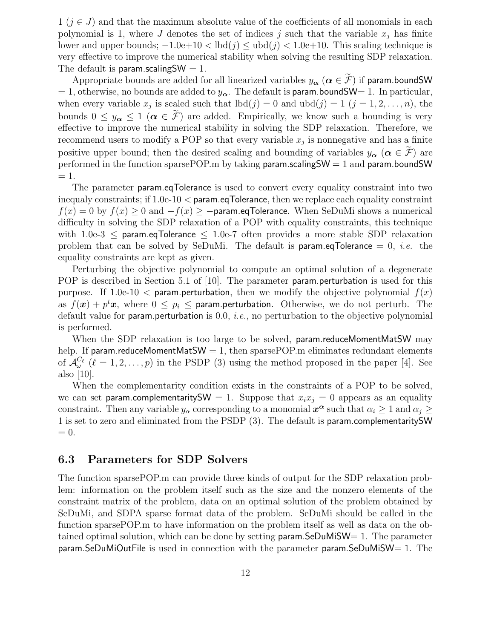$1 (j \in J)$  and that the maximum absolute value of the coefficients of all monomials in each polynomial is 1, where J denotes the set of indices j such that the variable  $x_j$  has finite lower and upper bounds;  $-1.0e+10 < \text{lbd}(j) \le \text{ubd}(j) < 1.0e+10$ . This scaling technique is very effective to improve the numerical stability when solving the resulting SDP relaxation. The default is param.scaling  $SW = 1$ .

Appropriate bounds are added for all linearized variables  $y_{\alpha}$   $(\alpha \in \widetilde{\mathcal{F}})$  if param.boundSW = 1, otherwise, no bounds are added to  $y_{\alpha}$ . The default is param.boundSW= 1. In particular, when every variable  $x_j$  is scaled such that  $\text{lbd}(j) = 0$  and  $\text{ubd}(j) = 1$   $(j = 1, 2, \ldots, n)$ , the bounds  $0 \leq y_{\alpha} \leq 1 \ (\alpha \in \mathcal{F})$  are added. Empirically, we know such a bounding is very effective to improve the numerical stability in solving the SDP relaxation. Therefore, we recommend users to modify a POP so that every variable  $x_j$  is nonnegative and has a finite positive upper bound; then the desired scaling and bounding of variables  $y_{\alpha}$  ( $\alpha \in \mathcal{F}$ ) are performed in the function sparsePOP.m by taking param.scaling  $SW = 1$  and param.bound SW  $= 1.$ 

The parameter param.eqTolerance is used to convert every equality constraint into two inequaly constraints; if 1.0e-10 < param.eqTolerance, then we replace each equality constraint  $f(x) = 0$  by  $f(x) \ge 0$  and  $-f(x) \ge -$ **param.eqTolerance.** When SeDuMi shows a numerical difficulty in solving the SDP relaxation of a POP with equality constraints, this technique with 1.0e-3  $\leq$  param.eqTolerance  $\leq$  1.0e-7 often provides a more stable SDP relaxation problem that can be solved by SeDuMi. The default is **param.eqTolerance**  $= 0$ , *i.e.* the equality constraints are kept as given.

Perturbing the objective polynomial to compute an optimal solution of a degenerate POP is described in Section 5.1 of [10]. The parameter **param.perturbation** is used for this purpose. If 1.0e-10  $\lt$  param.perturbation, then we modify the objective polynomial  $f(x)$ as  $f(\boldsymbol{x}) + p^t \boldsymbol{x}$ , where  $0 \leq p_i \leq$  param.perturbation. Otherwise, we do not perturb. The default value for param.perturbation is  $0.0$ , *i.e.*, no perturbation to the objective polynomial is performed.

When the SDP relaxation is too large to be solved, param.reduceMomentMatSW may help. If param.reduceMomentMatSW = 1, then sparsePOP.m eliminates redundant elements of  $\mathcal{A}^{C_{\ell}}_{\omega}$  ( $\ell = 1, 2, ..., p$ ) in the PSDP (3) using the method proposed in the paper [4]. See also [10].

When the complementarity condition exists in the constraints of a POP to be solved, we can set param.complementaritySW = 1. Suppose that  $x_ix_j = 0$  appears as an equality constraint. Then any variable  $y_\alpha$  corresponding to a monomial  $x^\alpha$  such that  $\alpha_i \geq 1$  and  $\alpha_j \geq$ 1 is set to zero and eliminated from the PSDP (3). The default is param.complementaritySW  $= 0.$ 

#### 6.3 Parameters for SDP Solvers

The function sparsePOP.m can provide three kinds of output for the SDP relaxation problem: information on the problem itself such as the size and the nonzero elements of the constraint matrix of the problem, data on an optimal solution of the problem obtained by SeDuMi, and SDPA sparse format data of the problem. SeDuMi should be called in the function sparsePOP.m to have information on the problem itself as well as data on the obtained optimal solution, which can be done by setting  $param.SeDuMISW= 1$ . The parameter  $\alpha$  param.SeDuMiOutFile is used in connection with the parameter param.SeDuMiSW= 1. The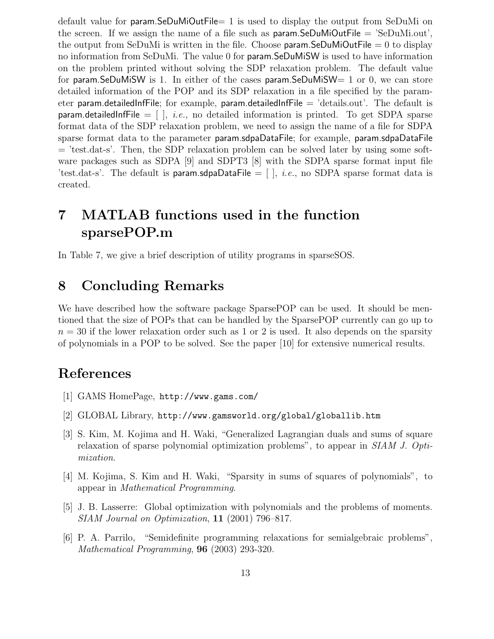default value for param.SeDuMiOutFile= 1 is used to display the output from SeDuMi on the screen. If we assign the name of a file such as  $param.SeDuMiOutFile = 'SeDuMi.out',$ the output from SeDuMi is written in the file. Choose **param.SeDuMiOutFile**  $= 0$  to display no information from SeDuMi. The value 0 for param.SeDuMiSW is used to have information on the problem printed without solving the SDP relaxation problem. The default value for param.SeDuMiSW is 1. In either of the cases param.SeDuMiSW=  $1$  or 0, we can store detailed information of the POP and its SDP relaxation in a file specified by the parameter param.detailedInfFile; for example, param.detailedInfFile  $=$  'details.out'. The default is param.detailedInfFile  $= [ ]$ , *i.e.*, no detailed information is printed. To get SDPA sparse format data of the SDP relaxation problem, we need to assign the name of a file for SDPA sparse format data to the parameter param.sdpaDataFile; for example, param.sdpaDataFile  $=$  'test.dat-s'. Then, the SDP relaxation problem can be solved later by using some software packages such as SDPA [9] and SDPT3 [8] with the SDPA sparse format input file 'test.dat-s'. The default is param.sdpaDataFile =  $[$   $]$ , *i.e.*, no SDPA sparse format data is created.

# 7 MATLAB functions used in the function sparsePOP.m

In Table 7, we give a brief description of utility programs in sparseSOS.

# 8 Concluding Remarks

We have described how the software package SparsePOP can be used. It should be mentioned that the size of POPs that can be handled by the SparsePOP currently can go up to  $n = 30$  if the lower relaxation order such as 1 or 2 is used. It also depends on the sparsity of polynomials in a POP to be solved. See the paper [10] for extensive numerical results.

### References

- [1] GAMS HomePage, http://www.gams.com/
- [2] GLOBAL Library, http://www.gamsworld.org/global/globallib.htm
- [3] S. Kim, M. Kojima and H. Waki, "Generalized Lagrangian duals and sums of square relaxation of sparse polynomial optimization problems", to appear in SIAM J. Optimization.
- [4] M. Kojima, S. Kim and H. Waki, "Sparsity in sums of squares of polynomials", to appear in Mathematical Programming.
- [5] J. B. Lasserre: Global optimization with polynomials and the problems of moments. SIAM Journal on Optimization, 11 (2001) 796–817.
- [6] P. A. Parrilo, "Semidefinite programming relaxations for semialgebraic problems", Mathematical Programming, 96 (2003) 293-320.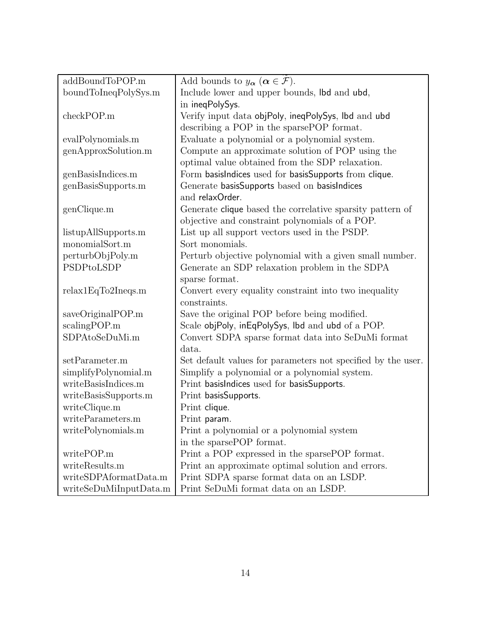| addBoundToPOP.m        | Add bounds to $y_{\alpha}$ $(\alpha \in \mathcal{F})$ .      |
|------------------------|--------------------------------------------------------------|
| boundToIneqPolySys.m   | Include lower and upper bounds, lbd and ubd,                 |
|                        | in ineqPolySys.                                              |
| checkPOP.m             | Verify input data objPoly, ineqPolySys, Ibd and ubd          |
|                        | describing a POP in the sparsePOP format.                    |
| evalPolynomials.m      | Evaluate a polynomial or a polynomial system.                |
| genApproxSolution.m    | Compute an approximate solution of POP using the             |
|                        | optimal value obtained from the SDP relaxation.              |
| genBasisIndices.m      | Form basisIndices used for basisSupports from clique.        |
| genBasisSupports.m     | Generate basisSupports based on basisIndices                 |
|                        | and relaxOrder.                                              |
| genClique.m            | Generate clique based the correlative sparsity pattern of    |
|                        | objective and constraint polynomials of a POP.               |
| listupAllSupports.m    | List up all support vectors used in the PSDP.                |
| monomialSort.m         | Sort monomials.                                              |
| perturbObjPoly.m       | Perturb objective polynomial with a given small number.      |
| PSDPtoLSDP             | Generate an SDP relaxation problem in the SDPA               |
|                        | sparse format.                                               |
| relax1EqTo2Ineqs.m     | Convert every equality constraint into two inequality        |
|                        | constraints.                                                 |
| saveOriginalPOP.m      | Save the original POP before being modified.                 |
| scalingPOP.m           | Scale objPoly, inEqPolySys, Ibd and ubd of a POP.            |
| SDPAtoSeDuMi.m         | Convert SDPA sparse format data into SeDuMi format           |
|                        | data.                                                        |
| setParameter.m         | Set default values for parameters not specified by the user. |
| simplifyPolynomial.m   | Simplify a polynomial or a polynomial system.                |
| writeBasisIndices.m    | Print basisIndices used for basisSupports.                   |
| writeBasisSupports.m   | Print basisSupports.                                         |
| writeClique.m          | Print clique.                                                |
| writeParameters.m      | Print param.                                                 |
| writePolynomials.m     | Print a polynomial or a polynomial system                    |
|                        | in the sparsePOP format.                                     |
| writePOP.m             | Print a POP expressed in the sparse POP format.              |
| writeResults.m         | Print an approximate optimal solution and errors.            |
| writeSDPAformatData.m  | Print SDPA sparse format data on an LSDP.                    |
| writeSeDuMiInputData.m | Print SeDuMi format data on an LSDP.                         |